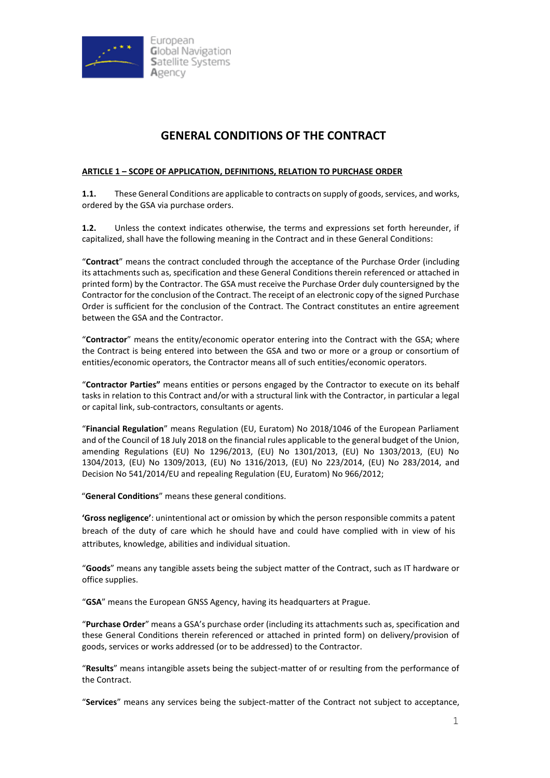

# **GENERAL CONDITIONS OF THE CONTRACT**

#### **ARTICLE 1 – SCOPE OF APPLICATION, DEFINITIONS, RELATION TO PURCHASE ORDER**

**1.1.** These General Conditions are applicable to contracts on supply of goods, services, and works, ordered by the GSA via purchase orders.

**1.2.** Unless the context indicates otherwise, the terms and expressions set forth hereunder, if capitalized, shall have the following meaning in the Contract and in these General Conditions:

"**Contract**" means the contract concluded through the acceptance of the Purchase Order (including its attachments such as, specification and these General Conditions therein referenced or attached in printed form) by the Contractor. The GSA must receive the Purchase Order duly countersigned by the Contractor for the conclusion of the Contract. The receipt of an electronic copy of the signed Purchase Order is sufficient for the conclusion of the Contract. The Contract constitutes an entire agreement between the GSA and the Contractor.

"**Contractor**" means the entity/economic operator entering into the Contract with the GSA; where the Contract is being entered into between the GSA and two or more or a group or consortium of entities/economic operators, the Contractor means all of such entities/economic operators.

"**Contractor Parties"** means entities or persons engaged by the Contractor to execute on its behalf tasks in relation to this Contract and/or with a structural link with the Contractor, in particular a legal or capital link, sub-contractors, consultants or agents.

"**Financial Regulation**" means Regulation (EU, Euratom) No 2018/1046 of the European Parliament and of the Council of 18 July 2018 on the financial rules applicable to the general budget of the Union, amending Regulations (EU) No 1296/2013, (EU) No 1301/2013, (EU) No 1303/2013, (EU) No 1304/2013, (EU) No 1309/2013, (EU) No 1316/2013, (EU) No 223/2014, (EU) No 283/2014, and Decision No 541/2014/EU and repealing Regulation (EU, Euratom) No 966/2012;

"**General Conditions**" means these general conditions.

**'Gross negligence'**: unintentional act or omission by which the person responsible commits a patent breach of the duty of care which he should have and could have complied with in view of his attributes, knowledge, abilities and individual situation.

"**Goods**" means any tangible assets being the subject matter of the Contract, such as IT hardware or office supplies.

"**GSA**" means the European GNSS Agency, having its headquarters at Prague.

"**Purchase Order**" means a GSA's purchase order (including its attachments such as, specification and these General Conditions therein referenced or attached in printed form) on delivery/provision of goods, services or works addressed (or to be addressed) to the Contractor.

"**Results**" means intangible assets being the subject-matter of or resulting from the performance of the Contract.

"**Services**" means any services being the subject-matter of the Contract not subject to acceptance,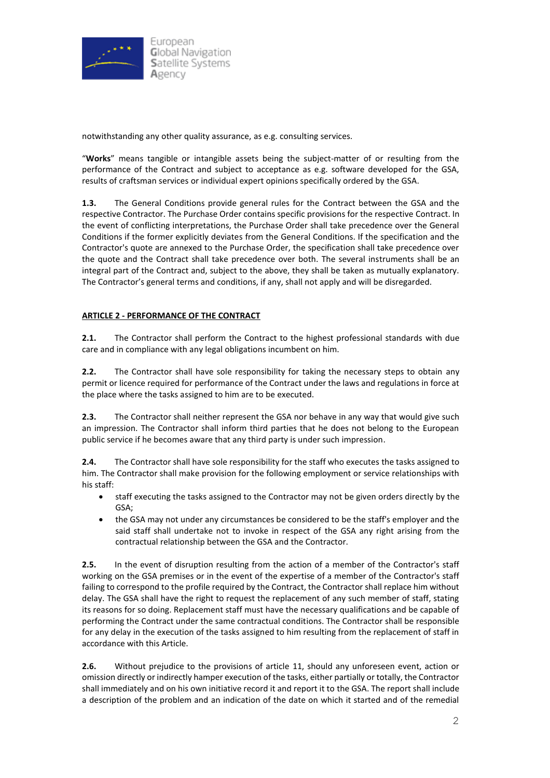

notwithstanding any other quality assurance, as e.g. consulting services.

"**Works**" means tangible or intangible assets being the subject-matter of or resulting from the performance of the Contract and subject to acceptance as e.g. software developed for the GSA, results of craftsman services or individual expert opinions specifically ordered by the GSA.

**1.3.** The General Conditions provide general rules for the Contract between the GSA and the respective Contractor. The Purchase Order contains specific provisions for the respective Contract. In the event of conflicting interpretations, the Purchase Order shall take precedence over the General Conditions if the former explicitly deviates from the General Conditions. If the specification and the Contractor's quote are annexed to the Purchase Order, the specification shall take precedence over the quote and the Contract shall take precedence over both. The several instruments shall be an integral part of the Contract and, subject to the above, they shall be taken as mutually explanatory. The Contractor's general terms and conditions, if any, shall not apply and will be disregarded.

# **ARTICLE 2 - PERFORMANCE OF THE CONTRACT**

**2.1.** The Contractor shall perform the Contract to the highest professional standards with due care and in compliance with any legal obligations incumbent on him.

**2.2.** The Contractor shall have sole responsibility for taking the necessary steps to obtain any permit or licence required for performance of the Contract under the laws and regulations in force at the place where the tasks assigned to him are to be executed.

**2.3.** The Contractor shall neither represent the GSA nor behave in any way that would give such an impression. The Contractor shall inform third parties that he does not belong to the European public service if he becomes aware that any third party is under such impression.

**2.4.** The Contractor shall have sole responsibility for the staff who executes the tasks assigned to him. The Contractor shall make provision for the following employment or service relationships with his staff:

- staff executing the tasks assigned to the Contractor may not be given orders directly by the GSA;
- the GSA may not under any circumstances be considered to be the staff's employer and the said staff shall undertake not to invoke in respect of the GSA any right arising from the contractual relationship between the GSA and the Contractor.

**2.5.** In the event of disruption resulting from the action of a member of the Contractor's staff working on the GSA premises or in the event of the expertise of a member of the Contractor's staff failing to correspond to the profile required by the Contract, the Contractor shall replace him without delay. The GSA shall have the right to request the replacement of any such member of staff, stating its reasons for so doing. Replacement staff must have the necessary qualifications and be capable of performing the Contract under the same contractual conditions. The Contractor shall be responsible for any delay in the execution of the tasks assigned to him resulting from the replacement of staff in accordance with this Article.

**2.6.** Without prejudice to the provisions of article 11, should any unforeseen event, action or omission directly or indirectly hamper execution of the tasks, either partially or totally, the Contractor shall immediately and on his own initiative record it and report it to the GSA. The report shall include a description of the problem and an indication of the date on which it started and of the remedial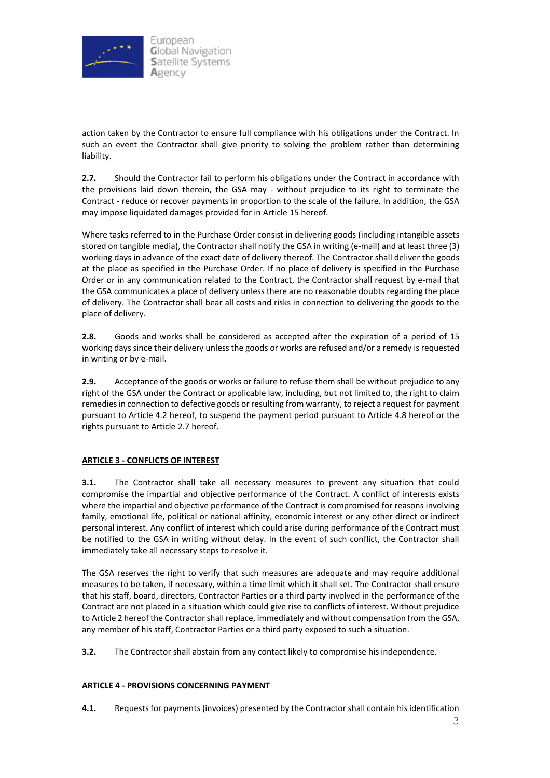

action taken by the Contractor to ensure full compliance with his obligations under the Contract. In such an event the Contractor shall give priority to solving the problem rather than determining liability.

**2.7.** Should the Contractor fail to perform his obligations under the Contract in accordance with the provisions laid down therein, the GSA may - without prejudice to its right to terminate the Contract - reduce or recover payments in proportion to the scale of the failure. In addition, the GSA may impose liquidated damages provided for in Article 15 hereof.

Where tasks referred to in the Purchase Order consist in delivering goods (including intangible assets stored on tangible media), the Contractor shall notify the GSA in writing (e-mail) and at least three (3) working days in advance of the exact date of delivery thereof. The Contractor shall deliver the goods at the place as specified in the Purchase Order. If no place of delivery is specified in the Purchase Order or in any communication related to the Contract, the Contractor shall request by e-mail that the GSA communicates a place of delivery unless there are no reasonable doubts regarding the place of delivery. The Contractor shall bear all costs and risks in connection to delivering the goods to the place of delivery.

**2.8.** Goods and works shall be considered as accepted after the expiration of a period of 15 working days since their delivery unless the goods or works are refused and/or a remedy is requested in writing or by e-mail.

**2.9.** Acceptance of the goods or works or failure to refuse them shall be without prejudice to any right of the GSA under the Contract or applicable law, including, but not limited to, the right to claim remediesin connection to defective goods or resulting from warranty, to reject a request for payment pursuant to Article 4.2 hereof, to suspend the payment period pursuant to Article 4.8 hereof or the rights pursuant to Article 2.7 hereof.

# **ARTICLE 3 - CONFLICTS OF INTEREST**

**3.1.** The Contractor shall take all necessary measures to prevent any situation that could compromise the impartial and objective performance of the Contract. A conflict of interests exists where the impartial and objective performance of the Contract is compromised for reasons involving family, emotional life, political or national affinity, economic interest or any other direct or indirect personal interest. Any conflict of interest which could arise during performance of the Contract must be notified to the GSA in writing without delay. In the event of such conflict, the Contractor shall immediately take all necessary steps to resolve it.

The GSA reserves the right to verify that such measures are adequate and may require additional measures to be taken, if necessary, within a time limit which it shall set. The Contractor shall ensure that his staff, board, directors, Contractor Parties or a third party involved in the performance of the Contract are not placed in a situation which could give rise to conflicts of interest. Without prejudice to Article 2 hereof the Contractor shall replace, immediately and without compensation from the GSA, any member of his staff, Contractor Parties or a third party exposed to such a situation.

**3.2.** The Contractor shall abstain from any contact likely to compromise his independence.

# **ARTICLE 4 - PROVISIONS CONCERNING PAYMENT**

**4.1.** Requests for payments (invoices) presented by the Contractor shall contain his identification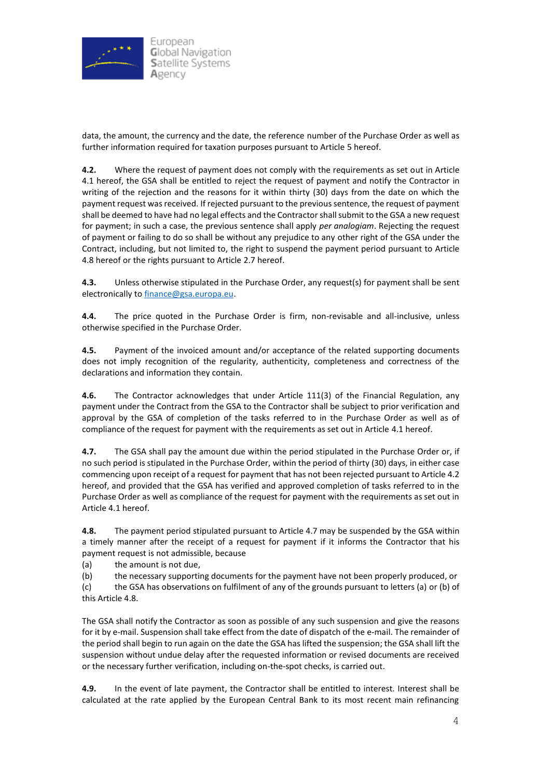

data, the amount, the currency and the date, the reference number of the Purchase Order as well as further information required for taxation purposes pursuant to Article 5 hereof.

**4.2.** Where the request of payment does not comply with the requirements as set out in Article 4.1 hereof, the GSA shall be entitled to reject the request of payment and notify the Contractor in writing of the rejection and the reasons for it within thirty (30) days from the date on which the payment request was received. If rejected pursuant to the previous sentence, the request of payment shall be deemed to have had no legal effects and the Contractor shall submit to the GSA a new request for payment; in such a case, the previous sentence shall apply *per analogiam*. Rejecting the request of payment or failing to do so shall be without any prejudice to any other right of the GSA under the Contract, including, but not limited to, the right to suspend the payment period pursuant to Article 4.8 hereof or the rights pursuant to Article 2.7 hereof.

**4.3.** Unless otherwise stipulated in the Purchase Order, any request(s) for payment shall be sent electronically to [finance@gsa.europa.eu.](mailto:finance@gsa.europa.eu)

**4.4.** The price quoted in the Purchase Order is firm, non-revisable and all-inclusive, unless otherwise specified in the Purchase Order.

**4.5.** Payment of the invoiced amount and/or acceptance of the related supporting documents does not imply recognition of the regularity, authenticity, completeness and correctness of the declarations and information they contain.

**4.6.** The Contractor acknowledges that under Article 111(3) of the Financial Regulation, any payment under the Contract from the GSA to the Contractor shall be subject to prior verification and approval by the GSA of completion of the tasks referred to in the Purchase Order as well as of compliance of the request for payment with the requirements as set out in Article 4.1 hereof.

**4.7.** The GSA shall pay the amount due within the period stipulated in the Purchase Order or, if no such period is stipulated in the Purchase Order, within the period of thirty (30) days, in either case commencing upon receipt of a request for payment that has not been rejected pursuant to Article 4.2 hereof, and provided that the GSA has verified and approved completion of tasks referred to in the Purchase Order as well as compliance of the request for payment with the requirements as set out in Article 4.1 hereof.

**4.8.** The payment period stipulated pursuant to Article 4.7 may be suspended by the GSA within a timely manner after the receipt of a request for payment if it informs the Contractor that his payment request is not admissible, because

(a) the amount is not due,

(b) the necessary supporting documents for the payment have not been properly produced, or

(c) the GSA has observations on fulfilment of any of the grounds pursuant to letters (a) or (b) of this Article 4.8.

The GSA shall notify the Contractor as soon as possible of any such suspension and give the reasons for it by e-mail. Suspension shall take effect from the date of dispatch of the e-mail. The remainder of the period shall begin to run again on the date the GSA has lifted the suspension; the GSA shall lift the suspension without undue delay after the requested information or revised documents are received or the necessary further verification, including on-the-spot checks, is carried out.

**4.9.** In the event of late payment, the Contractor shall be entitled to interest. Interest shall be calculated at the rate applied by the European Central Bank to its most recent main refinancing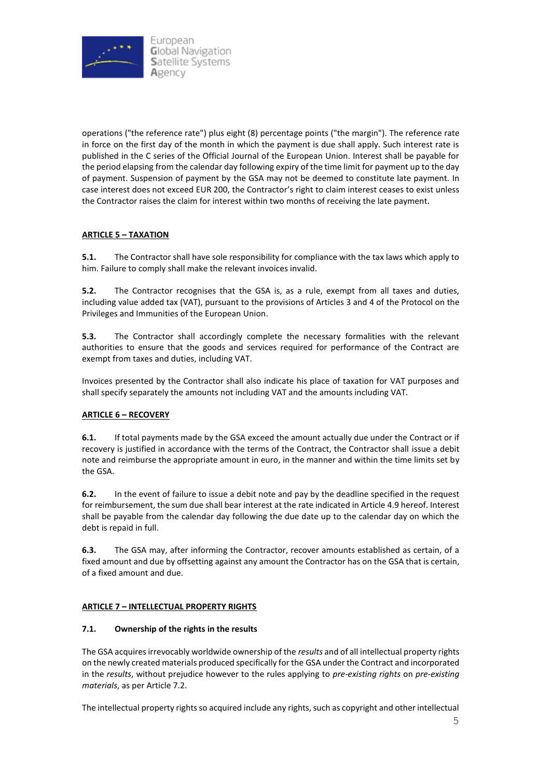

operations ("the reference rate") plus eight (8) percentage points ("the margin"). The reference rate in force on the first day of the month in which the payment is due shall apply. Such interest rate is published in the C series of the Official Journal of the European Union. Interest shall be payable for the period elapsing from the calendar day following expiry of the time limit for payment up to the day of payment. Suspension of payment by the GSA may not be deemed to constitute late payment. In case interest does not exceed EUR 200, the Contractor's right to claim interest ceases to exist unless the Contractor raises the claim for interest within two months of receiving the late payment.

# **ARTICLE 5 – TAXATION**

**5.1.** The Contractor shall have sole responsibility for compliance with the tax laws which apply to him. Failure to comply shall make the relevant invoices invalid.

**5.2.** The Contractor recognises that the GSA is, as a rule, exempt from all taxes and duties, including value added tax (VAT), pursuant to the provisions of Articles 3 and 4 of [the Protocol on the](https://eur-lex.europa.eu/legal-content/EN/TXT/?uri=CELEX%3A12012E%2FPRO%2F07)  [Privileges and Immunities of the European Union.](https://eur-lex.europa.eu/legal-content/EN/TXT/?uri=CELEX%3A12012E%2FPRO%2F07)

**5.3.** The Contractor shall accordingly complete the necessary formalities with the relevant authorities to ensure that the goods and services required for performance of the Contract are exempt from taxes and duties, including VAT.

Invoices presented by the Contractor shall also indicate his place of taxation for VAT purposes and shall specify separately the amounts not including VAT and the amounts including VAT.

#### **ARTICLE 6 – RECOVERY**

**6.1.** If total payments made by the GSA exceed the amount actually due under the Contract or if recovery is justified in accordance with the terms of the Contract, the Contractor shall issue a debit note and reimburse the appropriate amount in euro, in the manner and within the time limits set by the GSA.

**6.2.** In the event of failure to issue a debit note and pay by the deadline specified in the request for reimbursement, the sum due shall bear interest at the rate indicated in Article 4.9 hereof. Interest shall be payable from the calendar day following the due date up to the calendar day on which the debt is repaid in full.

**6.3.** The GSA may, after informing the Contractor, recover amounts established as certain, of a fixed amount and due by offsetting against any amount the Contractor has on the GSA that is certain, of a fixed amount and due.

# **ARTICLE 7 – INTELLECTUAL PROPERTY RIGHTS**

#### **7.1. Ownership of the rights in the results**

The GSA acquires irrevocably worldwide ownership of the *results* and of all intellectual property rights on the newly created materials produced specifically for the GSA under the Contract and incorporated in the *results*, without prejudice however to the rules applying to *pre-existing rights* on *pre-existing materials*, as per Article 7.2.

The intellectual property rights so acquired include any rights, such as copyright and other intellectual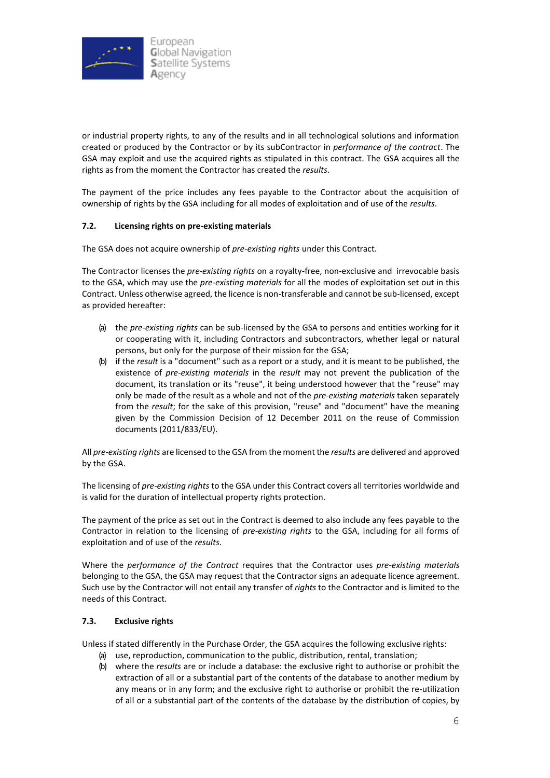

or industrial property rights, to any of the results and in all technological solutions and information created or produced by the Contractor or by its subContractor in *performance of the contract*. The GSA may exploit and use the acquired rights as stipulated in this contract. The GSA acquires all the rights as from the moment the Contractor has created the *results*.

The payment of the price includes any fees payable to the Contractor about the acquisition of ownership of rights by the GSA including for all modes of exploitation and of use of the *results*.

### **7.2. Licensing rights on pre-existing materials**

The GSA does not acquire ownership of *pre-existing rights* under this Contract.

The Contractor licenses the *pre-existing rights* on a royalty-free, non-exclusive and irrevocable basis to the GSA, which may use the *pre-existing materials* for all the modes of exploitation set out in this Contract. Unless otherwise agreed, the licence is non-transferable and cannot be sub-licensed, except as provided hereafter:

- (a) the *pre-existing rights* can be sub-licensed by the GSA to persons and entities working for it or cooperating with it, including Contractors and subcontractors, whether legal or natural persons, but only for the purpose of their mission for the GSA;
- (b) if the *result* is a "document" such as a report or a study, and it is meant to be published, the existence of *pre-existing materials* in the *result* may not prevent the publication of the document, its translation or its "reuse", it being understood however that the "reuse" may only be made of the result as a whole and not of the *pre-existing materials* taken separately from the *result*; for the sake of this provision, "reuse" and "document" have the meaning given by the Commission Decision of 12 December 2011 on the reuse of Commission documents (2011/833/EU).

All *pre-existing rights* are licensed to the GSA from the moment the *results* are delivered and approved by the GSA.

The licensing of *pre-existing rights* to the GSA under this Contract covers all territories worldwide and is valid for the duration of intellectual property rights protection.

The payment of the price as set out in the Contract is deemed to also include any fees payable to the Contractor in relation to the licensing of *pre-existing rights* to the GSA, including for all forms of exploitation and of use of the *results*.

Where the *performance of the Contract* requires that the Contractor uses *pre-existing materials* belonging to the GSA, the GSA may request that the Contractor signs an adequate licence agreement. Such use by the Contractor will not entail any transfer of *rights* to the Contractor and is limited to the needs of this Contract.

#### **7.3. Exclusive rights**

Unless if stated differently in the Purchase Order, the GSA acquires the following exclusive rights:

- (a) use, reproduction, communication to the public, distribution, rental, translation;
- (b) where the *results* are or include a database: the exclusive right to authorise or prohibit the extraction of all or a substantial part of the contents of the database to another medium by any means or in any form; and the exclusive right to authorise or prohibit the re-utilization of all or a substantial part of the contents of the database by the distribution of copies, by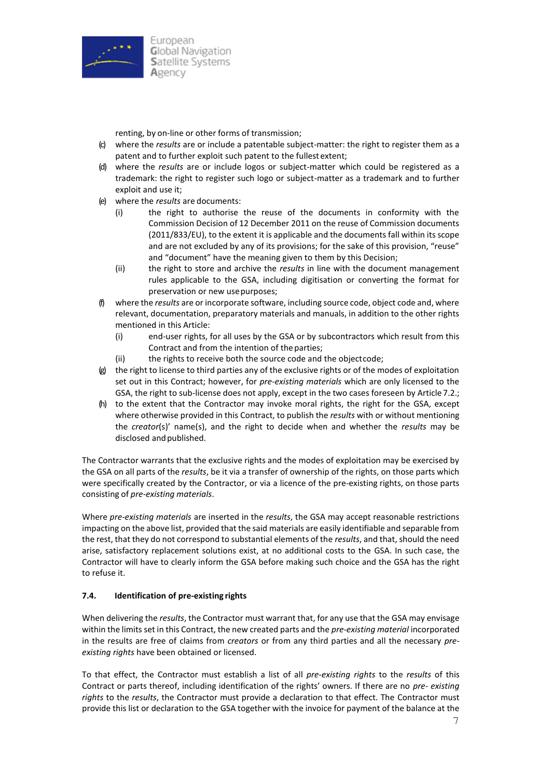

renting, by on-line or other forms of transmission;

- (c) where the *results* are or include a patentable subject-matter: the right to register them as a patent and to further exploit such patent to the fullest extent;
- (d) where the *results* are or include logos or subject-matter which could be registered as a trademark: the right to register such logo or subject-matter as a trademark and to further exploit and use it;
- (e) where the *results* are documents:
	- (i) the right to authorise the reuse of the documents in conformity with the Commission Decision of 12 December 2011 on the reuse of Commission documents (2011/833/EU), to the extent it is applicable and the documents fall within its scope and are not excluded by any of its provisions; for the sake of this provision, "reuse" and "document" have the meaning given to them by this Decision;
	- (ii) the right to store and archive the *results* in line with the document management rules applicable to the GSA, including digitisation or converting the format for preservation or new usepurposes;
- (f) where the *results* are or incorporate software, including source code, object code and, where relevant, documentation, preparatory materials and manuals, in addition to the other rights mentioned in this Article:
	- (i) end-user rights, for all uses by the GSA or by subcontractors which result from this Contract and from the intention of the parties;
	- (ii) the rights to receive both the source code and the objectcode;
- $(g)$  the right to license to third parties any of the exclusive rights or of the modes of exploitation set out in this Contract; however, for *pre-existing materials* which are only licensed to the GSA, the right to sub-license does not apply, except in the two cases foreseen by Article 7.2.;
- (h) to the extent that the Contractor may invoke moral rights, the right for the GSA, except where otherwise provided in this Contract, to publish the *results* with or without mentioning the *creator*(s)' name(s), and the right to decide when and whether the *results* may be disclosed and published.

The Contractor warrants that the exclusive rights and the modes of exploitation may be exercised by the GSA on all parts of the *results*, be it via a transfer of ownership of the rights, on those parts which were specifically created by the Contractor, or via a licence of the pre-existing rights, on those parts consisting of *pre-existing materials*.

Where *pre-existing materials* are inserted in the *results*, the GSA may accept reasonable restrictions impacting on the above list, provided that the said materials are easily identifiable and separable from the rest, that they do not correspond to substantial elements of the *results*, and that, should the need arise, satisfactory replacement solutions exist, at no additional costs to the GSA. In such case, the Contractor will have to clearly inform the GSA before making such choice and the GSA has the right to refuse it.

# **7.4. Identification of pre-existing rights**

When delivering the *results*, the Contractor must warrant that, for any use that the GSA may envisage within the limits set in this Contract, the new created parts and the *pre-existing material* incorporated in the results are free of claims from *creators* or from any third parties and all the necessary *preexisting rights* have been obtained or licensed.

To that effect, the Contractor must establish a list of all *pre-existing rights* to the *results* of this Contract or parts thereof, including identification of the rights' owners. If there are no *pre- existing rights* to the *results*, the Contractor must provide a declaration to that effect. The Contractor must provide this list or declaration to the GSA together with the invoice for payment of the balance at the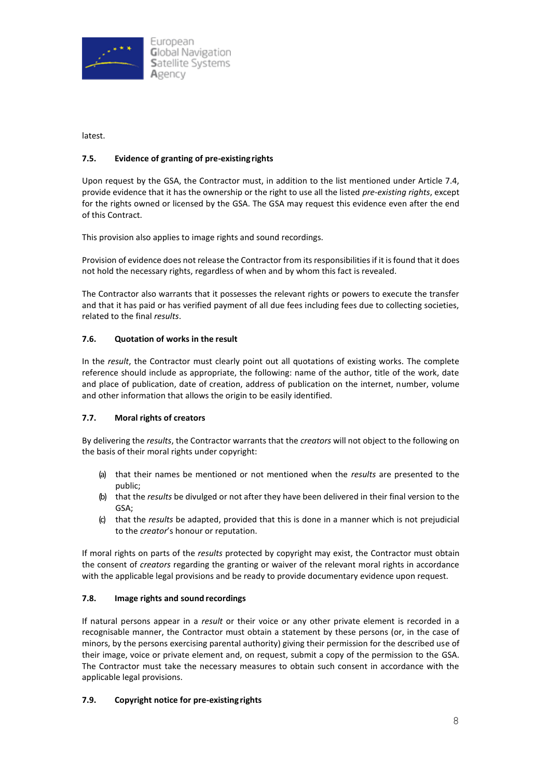

latest.

# **7.5. Evidence of granting of pre-existingrights**

Upon request by the GSA, the Contractor must, in addition to the list mentioned under Article 7.4, provide evidence that it has the ownership or the right to use all the listed *pre-existing rights*, except for the rights owned or licensed by the GSA. The GSA may request this evidence even after the end of this Contract.

This provision also applies to image rights and sound recordings.

Provision of evidence does not release the Contractor from its responsibilities if it is found that it does not hold the necessary rights, regardless of when and by whom this fact is revealed.

The Contractor also warrants that it possesses the relevant rights or powers to execute the transfer and that it has paid or has verified payment of all due fees including fees due to collecting societies, related to the final *results*.

# **7.6. Quotation of works in the result**

In the *result*, the Contractor must clearly point out all quotations of existing works. The complete reference should include as appropriate, the following: name of the author, title of the work, date and place of publication, date of creation, address of publication on the internet, number, volume and other information that allows the origin to be easily identified.

#### **7.7. Moral rights of creators**

By delivering the *results*, the Contractor warrants that the *creators* will not object to the following on the basis of their moral rights under copyright:

- (a) that their names be mentioned or not mentioned when the *results* are presented to the public;
- (b) that the *results* be divulged or not after they have been delivered in their final version to the GSA;
- (c) that the *results* be adapted, provided that this is done in a manner which is not prejudicial to the *creator*'s honour or reputation.

If moral rights on parts of the *results* protected by copyright may exist, the Contractor must obtain the consent of *creators* regarding the granting or waiver of the relevant moral rights in accordance with the applicable legal provisions and be ready to provide documentary evidence upon request.

# **7.8. Image rights and sound recordings**

If natural persons appear in a *result* or their voice or any other private element is recorded in a recognisable manner, the Contractor must obtain a statement by these persons (or, in the case of minors, by the persons exercising parental authority) giving their permission for the described use of their image, voice or private element and, on request, submit a copy of the permission to the GSA. The Contractor must take the necessary measures to obtain such consent in accordance with the applicable legal provisions.

#### **7.9. Copyright notice for pre-existing rights**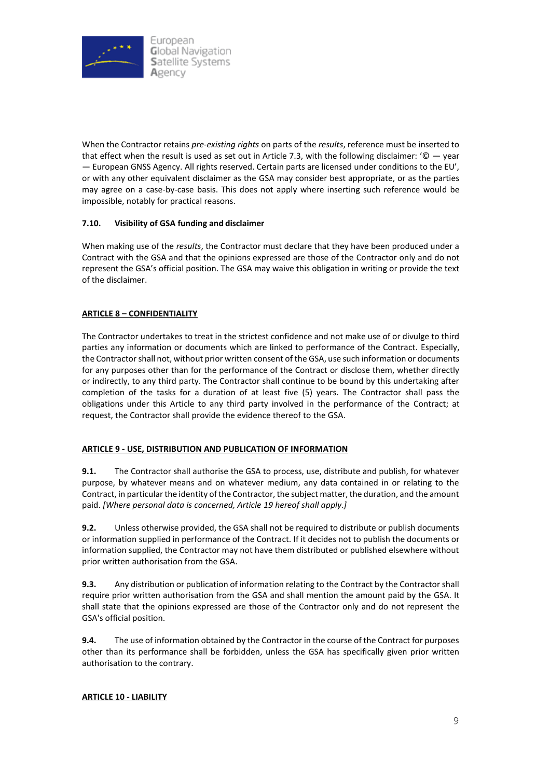

When the Contractor retains *pre-existing rights* on parts of the *results*, reference must be inserted to that effect when the result is used as set out in Article 7.3, with the following disclaimer: ' $\mathbb{O}$  — year — European GNSS Agency. All rights reserved. Certain parts are licensed under conditions to the EU', or with any other equivalent disclaimer as the GSA may consider best appropriate, or as the parties may agree on a case-by-case basis. This does not apply where inserting such reference would be impossible, notably for practical reasons.

### **7.10. Visibility of GSA funding and disclaimer**

When making use of the *results*, the Contractor must declare that they have been produced under a Contract with the GSA and that the opinions expressed are those of the Contractor only and do not represent the GSA's official position. The GSA may waive this obligation in writing or provide the text of the disclaimer.

### **ARTICLE 8 – CONFIDENTIALITY**

The Contractor undertakes to treat in the strictest confidence and not make use of or divulge to third parties any information or documents which are linked to performance of the Contract. Especially, the Contractor shall not, without prior written consent of the GSA, use such information or documents for any purposes other than for the performance of the Contract or disclose them, whether directly or indirectly, to any third party. The Contractor shall continue to be bound by this undertaking after completion of the tasks for a duration of at least five (5) years. The Contractor shall pass the obligations under this Article to any third party involved in the performance of the Contract; at request, the Contractor shall provide the evidence thereof to the GSA.

#### **ARTICLE 9 - USE, DISTRIBUTION AND PUBLICATION OF INFORMATION**

**9.1.** The Contractor shall authorise the GSA to process, use, distribute and publish, for whatever purpose, by whatever means and on whatever medium, any data contained in or relating to the Contract, in particular the identity of the Contractor, the subject matter, the duration, and the amount paid. *[Where personal data is concerned, Article 19 hereof shall apply.]*

**9.2.** Unless otherwise provided, the GSA shall not be required to distribute or publish documents or information supplied in performance of the Contract. If it decides not to publish the documents or information supplied, the Contractor may not have them distributed or published elsewhere without prior written authorisation from the GSA.

**9.3.** Any distribution or publication of information relating to the Contract by the Contractor shall require prior written authorisation from the GSA and shall mention the amount paid by the GSA. It shall state that the opinions expressed are those of the Contractor only and do not represent the GSA's official position.

**9.4.** The use of information obtained by the Contractor in the course of the Contract for purposes other than its performance shall be forbidden, unless the GSA has specifically given prior written authorisation to the contrary.

#### **ARTICLE 10 - LIABILITY**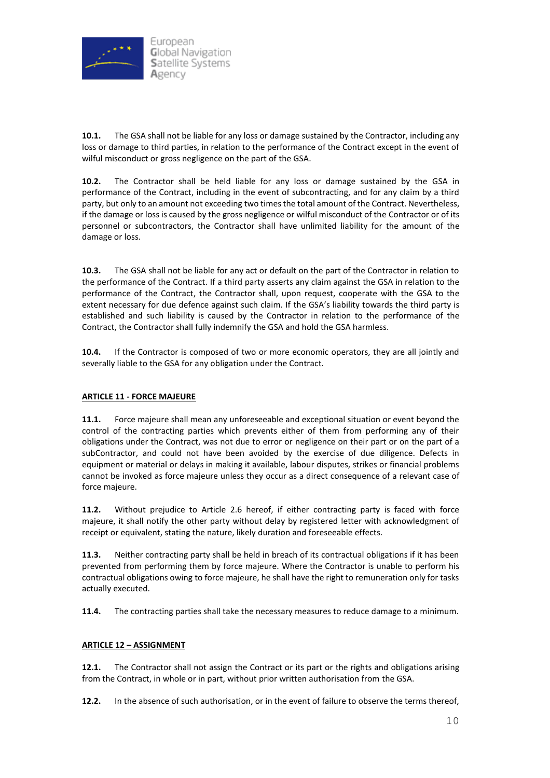

**10.1.** The GSA shall not be liable for any loss or damage sustained by the Contractor, including any loss or damage to third parties, in relation to the performance of the Contract except in the event of wilful misconduct or gross negligence on the part of the GSA.

**10.2.** The Contractor shall be held liable for any loss or damage sustained by the GSA in performance of the Contract, including in the event of subcontracting, and for any claim by a third party, but only to an amount not exceeding two times the total amount of the Contract. Nevertheless, if the damage or loss is caused by the gross negligence or wilful misconduct of the Contractor or of its personnel or subcontractors, the Contractor shall have unlimited liability for the amount of the damage or loss.

**10.3.** The GSA shall not be liable for any act or default on the part of the Contractor in relation to the performance of the Contract. If a third party asserts any claim against the GSA in relation to the performance of the Contract, the Contractor shall, upon request, cooperate with the GSA to the extent necessary for due defence against such claim. If the GSA's liability towards the third party is established and such liability is caused by the Contractor in relation to the performance of the Contract, the Contractor shall fully indemnify the GSA and hold the GSA harmless.

**10.4.** If the Contractor is composed of two or more economic operators, they are all jointly and severally liable to the GSA for any obligation under the Contract.

# **ARTICLE 11 - FORCE MAJEURE**

**11.1.** Force majeure shall mean any unforeseeable and exceptional situation or event beyond the control of the contracting parties which prevents either of them from performing any of their obligations under the Contract, was not due to error or negligence on their part or on the part of a subContractor, and could not have been avoided by the exercise of due diligence. Defects in equipment or material or delays in making it available, labour disputes, strikes or financial problems cannot be invoked as force majeure unless they occur as a direct consequence of a relevant case of force majeure.

**11.2.** Without prejudice to Article 2.6 hereof, if either contracting party is faced with force majeure, it shall notify the other party without delay by registered letter with acknowledgment of receipt or equivalent, stating the nature, likely duration and foreseeable effects.

**11.3.** Neither contracting party shall be held in breach of its contractual obligations if it has been prevented from performing them by force majeure. Where the Contractor is unable to perform his contractual obligations owing to force majeure, he shall have the right to remuneration only for tasks actually executed.

**11.4.** The contracting parties shall take the necessary measures to reduce damage to a minimum.

# **ARTICLE 12 – ASSIGNMENT**

**12.1.** The Contractor shall not assign the Contract or its part or the rights and obligations arising from the Contract, in whole or in part, without prior written authorisation from the GSA.

**12.2.** In the absence of such authorisation, or in the event of failure to observe the terms thereof,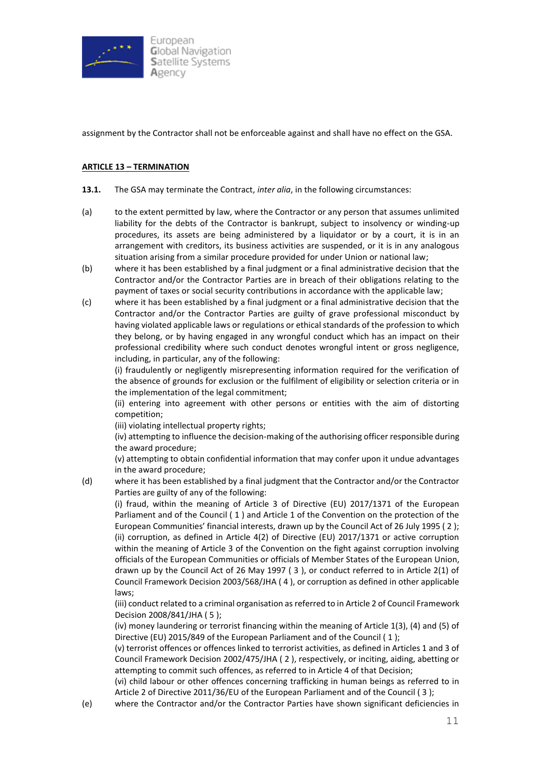

assignment by the Contractor shall not be enforceable against and shall have no effect on the GSA.

### **ARTICLE 13 – TERMINATION**

- **13.1.** The GSA may terminate the Contract, *inter alia*, in the following circumstances:
- (a) to the extent permitted by law, where the Contractor or any person that assumes unlimited liability for the debts of the Contractor is bankrupt, subject to insolvency or winding-up procedures, its assets are being administered by a liquidator or by a court, it is in an arrangement with creditors, its business activities are suspended, or it is in any analogous situation arising from a similar procedure provided for under Union or national law;
- (b) where it has been established by a final judgment or a final administrative decision that the Contractor and/or the Contractor Parties are in breach of their obligations relating to the payment of taxes or social security contributions in accordance with the applicable law;
- (c) where it has been established by a final judgment or a final administrative decision that the Contractor and/or the Contractor Parties are guilty of grave professional misconduct by having violated applicable laws or regulations or ethical standards of the profession to which they belong, or by having engaged in any wrongful conduct which has an impact on their professional credibility where such conduct denotes wrongful intent or gross negligence, including, in particular, any of the following:

(i) fraudulently or negligently misrepresenting information required for the verification of the absence of grounds for exclusion or the fulfilment of eligibility or selection criteria or in the implementation of the legal commitment;

(ii) entering into agreement with other persons or entities with the aim of distorting competition;

(iii) violating intellectual property rights;

(iv) attempting to influence the decision-making of the authorising officer responsible during the award procedure;

(v) attempting to obtain confidential information that may confer upon it undue advantages in the award procedure;

(d) where it has been established by a final judgment that the Contractor and/or the Contractor Parties are guilty of any of the following:

(i) fraud, within the meaning of Article 3 of Directive (EU) 2017/1371 of the European Parliament and of the Council ( 1 ) and Article 1 of the Convention on the protection of the European Communities' financial interests, drawn up by the Council Act of 26 July 1995 ( 2 ); (ii) corruption, as defined in Article 4(2) of Directive (EU) 2017/1371 or active corruption within the meaning of Article 3 of the Convention on the fight against corruption involving officials of the European Communities or officials of Member States of the European Union, drawn up by the Council Act of 26 May 1997 ( 3 ), or conduct referred to in Article 2(1) of Council Framework Decision 2003/568/JHA ( 4 ), or corruption as defined in other applicable laws;

(iii) conduct related to a criminal organisation asreferred to in Article 2 of Council Framework Decision 2008/841/JHA ( 5 );

(iv) money laundering or terrorist financing within the meaning of Article 1(3), (4) and (5) of Directive (EU) 2015/849 of the European Parliament and of the Council ( 1 );

(v) terrorist offences or offences linked to terrorist activities, as defined in Articles 1 and 3 of Council Framework Decision 2002/475/JHA ( 2 ), respectively, or inciting, aiding, abetting or attempting to commit such offences, as referred to in Article 4 of that Decision;

(vi) child labour or other offences concerning trafficking in human beings as referred to in Article 2 of Directive 2011/36/EU of the European Parliament and of the Council ( 3 );

(e) where the Contractor and/or the Contractor Parties have shown significant deficiencies in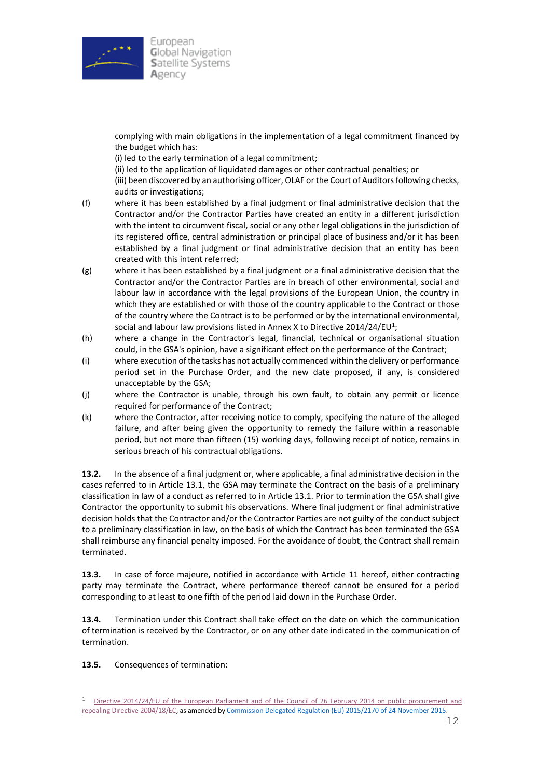

complying with main obligations in the implementation of a legal commitment financed by the budget which has:

(i) led to the early termination of a legal commitment;

(ii) led to the application of liquidated damages or other contractual penalties; or

(iii) been discovered by an authorising officer, OLAF or the Court of Auditors following checks, audits or investigations;

- (f) where it has been established by a final judgment or final administrative decision that the Contractor and/or the Contractor Parties have created an entity in a different jurisdiction with the intent to circumvent fiscal, social or any other legal obligations in the jurisdiction of its registered office, central administration or principal place of business and/or it has been established by a final judgment or final administrative decision that an entity has been created with this intent referred;
- (g) where it has been established by a final judgment or a final administrative decision that the Contractor and/or the Contractor Parties are in breach of other environmental, social and labour law in accordance with the legal provisions of the European Union, the country in which they are established or with those of the country applicable to the Contract or those of the country where the Contract is to be performed or by the international environmental, social and labour law provisions listed in Annex X to Directive 2014/24/EU<sup>1</sup>;
- (h) where a change in the Contractor's legal, financial, technical or organisational situation could, in the GSA's opinion, have a significant effect on the performance of the Contract;
- (i) where execution of the tasks has not actually commenced within the delivery or performance period set in the Purchase Order, and the new date proposed, if any, is considered unacceptable by the GSA;
- (j) where the Contractor is unable, through his own fault, to obtain any permit or licence required for performance of the Contract;
- (k) where the Contractor, after receiving notice to comply, specifying the nature of the alleged failure, and after being given the opportunity to remedy the failure within a reasonable period, but not more than fifteen (15) working days, following receipt of notice, remains in serious breach of his contractual obligations.

**13.2.** In the absence of a final judgment or, where applicable, a final administrative decision in the cases referred to in Article 13.1, the GSA may terminate the Contract on the basis of a preliminary classification in law of a conduct as referred to in Article 13.1. Prior to termination the GSA shall give Contractor the opportunity to submit his observations. Where final judgment or final administrative decision holds that the Contractor and/or the Contractor Parties are not guilty of the conduct subject to a preliminary classification in law, on the basis of which the Contract has been terminated the GSA shall reimburse any financial penalty imposed. For the avoidance of doubt, the Contract shall remain terminated.

**13.3.** In case of force majeure, notified in accordance with Article 11 hereof, either contracting party may terminate the Contract, where performance thereof cannot be ensured for a period corresponding to at least to one fifth of the period laid down in the Purchase Order.

**13.4.** Termination under this Contract shall take effect on the date on which the communication of termination is received by the Contractor, or on any other date indicated in the communication of termination.

**13.5.** Consequences of termination:

<sup>&</sup>lt;sup>1</sup> [Directive 2014/24/EU of the European Parliament and of the](https://eur-lex.europa.eu/legal-content/EN/TXT/HTML/?uri=CELEX:32014L0024&from=EN#ntr1-L_2014094EN.01006501-E0001) Council of 26 February 2014 on public procurement and [repealing Directive 2004/18/EC,](https://eur-lex.europa.eu/legal-content/EN/TXT/HTML/?uri=CELEX:32014L0024&from=EN#ntr1-L_2014094EN.01006501-E0001) as amended b[y Commission Delegated Regulation \(EU\) 2015/2170 of 24 November 2015.](http://eur-lex.europa.eu/legal-content/EN/TXT/HTML/?uri=CELEX:32015R2170&from=EN)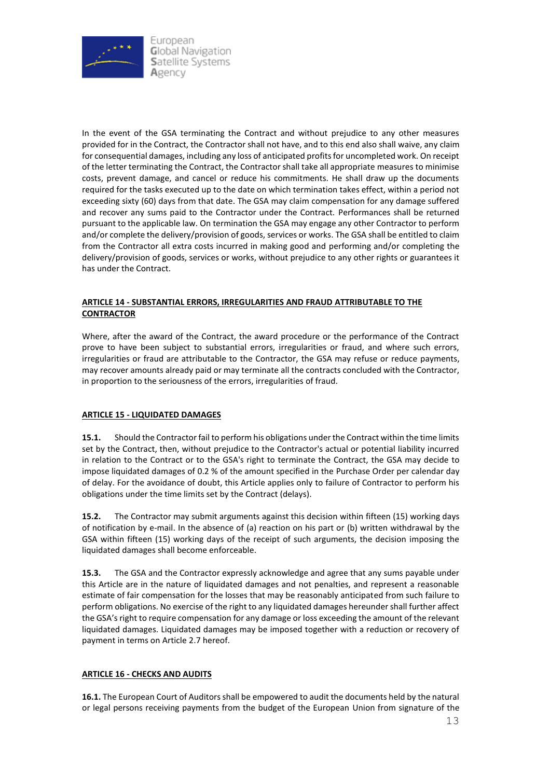

In the event of the GSA terminating the Contract and without prejudice to any other measures provided for in the Contract, the Contractor shall not have, and to this end also shall waive, any claim for consequential damages, including any loss of anticipated profits for uncompleted work. On receipt of the letter terminating the Contract, the Contractor shall take all appropriate measures to minimise costs, prevent damage, and cancel or reduce his commitments. He shall draw up the documents required for the tasks executed up to the date on which termination takes effect, within a period not exceeding sixty (60) days from that date. The GSA may claim compensation for any damage suffered and recover any sums paid to the Contractor under the Contract. Performances shall be returned pursuant to the applicable law. On termination the GSA may engage any other Contractor to perform and/or complete the delivery/provision of goods, services or works. The GSA shall be entitled to claim from the Contractor all extra costs incurred in making good and performing and/or completing the delivery/provision of goods, services or works, without prejudice to any other rights or guarantees it has under the Contract.

### **ARTICLE 14 - SUBSTANTIAL ERRORS, IRREGULARITIES AND FRAUD ATTRIBUTABLE TO THE CONTRACTOR**

Where, after the award of the Contract, the award procedure or the performance of the Contract prove to have been subject to substantial errors, irregularities or fraud, and where such errors, irregularities or fraud are attributable to the Contractor, the GSA may refuse or reduce payments, may recover amounts already paid or may terminate all the contracts concluded with the Contractor, in proportion to the seriousness of the errors, irregularities of fraud.

# **ARTICLE 15 - LIQUIDATED DAMAGES**

**15.1.** Should the Contractor fail to perform his obligations under the Contract within the time limits set by the Contract, then, without prejudice to the Contractor's actual or potential liability incurred in relation to the Contract or to the GSA's right to terminate the Contract, the GSA may decide to impose liquidated damages of 0.2 % of the amount specified in the Purchase Order per calendar day of delay. For the avoidance of doubt, this Article applies only to failure of Contractor to perform his obligations under the time limits set by the Contract (delays).

**15.2.** The Contractor may submit arguments against this decision within fifteen (15) working days of notification by e-mail. In the absence of (a) reaction on his part or (b) written withdrawal by the GSA within fifteen (15) working days of the receipt of such arguments, the decision imposing the liquidated damages shall become enforceable.

**15.3.** The GSA and the Contractor expressly acknowledge and agree that any sums payable under this Article are in the nature of liquidated damages and not penalties, and represent a reasonable estimate of fair compensation for the losses that may be reasonably anticipated from such failure to perform obligations. No exercise of the right to any liquidated damages hereunder shall further affect the GSA's right to require compensation for any damage or loss exceeding the amount of the relevant liquidated damages. Liquidated damages may be imposed together with a reduction or recovery of payment in terms on Article 2.7 hereof.

#### **ARTICLE 16 - CHECKS AND AUDITS**

**16.1.** The European Court of Auditors shall be empowered to audit the documents held by the natural or legal persons receiving payments from the budget of the European Union from signature of the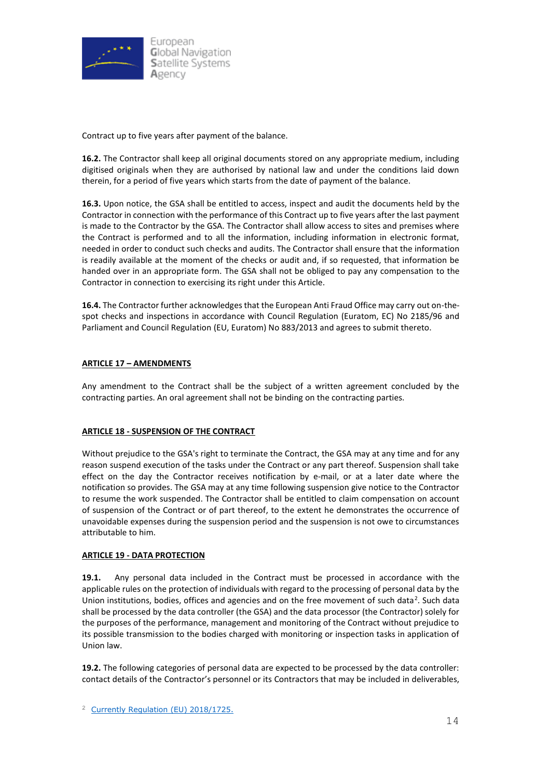

Contract up to five years after payment of the balance.

**16.2.** The Contractor shall keep all original documents stored on any appropriate medium, including digitised originals when they are authorised by national law and under the conditions laid down therein, for a period of five years which starts from the date of payment of the balance.

**16.3.** Upon notice, the GSA shall be entitled to access, inspect and audit the documents held by the Contractor in connection with the performance of this Contract up to five years after the last payment is made to the Contractor by the GSA. The Contractor shall allow access to sites and premises where the Contract is performed and to all the information, including information in electronic format, needed in order to conduct such checks and audits. The Contractor shall ensure that the information is readily available at the moment of the checks or audit and, if so requested, that information be handed over in an appropriate form. The GSA shall not be obliged to pay any compensation to the Contractor in connection to exercising its right under this Article.

**16.4.** The Contractor further acknowledges that the European Anti Fraud Office may carry out on-thespot checks and inspections in accordance with [Council Regulation \(Euratom, EC\) No 2185/96](http://eur-lex.europa.eu/legal-content/EN/TXT/?uri=celex%3A31996R2185) and Parliament and Council Regulation [\(EU, Euratom\) No](https://eur-lex.europa.eu/legal-content/en/TXT/?uri=CELEX:32013R0883) 883/2013 and agrees to submit thereto.

### **ARTICLE 17 – AMENDMENTS**

Any amendment to the Contract shall be the subject of a written agreement concluded by the contracting parties. An oral agreement shall not be binding on the contracting parties.

#### **ARTICLE 18 - SUSPENSION OF THE CONTRACT**

Without prejudice to the GSA's right to terminate the Contract, the GSA may at any time and for any reason suspend execution of the tasks under the Contract or any part thereof. Suspension shall take effect on the day the Contractor receives notification by e-mail, or at a later date where the notification so provides. The GSA may at any time following suspension give notice to the Contractor to resume the work suspended. The Contractor shall be entitled to claim compensation on account of suspension of the Contract or of part thereof, to the extent he demonstrates the occurrence of unavoidable expenses during the suspension period and the suspension is not owe to circumstances attributable to him.

#### **ARTICLE 19 - DATA PROTECTION**

**19.1.** Any personal data included in the Contract must be processed in accordance with the applicable rules on the protection of individuals with regard to the processing of personal data by the Union institutions, bodies, offices and agencies and on the free movement of such data<sup>2</sup>. Such data shall be processed by the data controller (the GSA) and the data processor (the Contractor) solely for the purposes of the performance, management and monitoring of the Contract without prejudice to its possible transmission to the bodies charged with monitoring or inspection tasks in application of Union law.

**19.2.** The following categories of personal data are expected to be processed by the data controller: contact details of the Contractor's personnel or its Contractors that may be included in deliverables,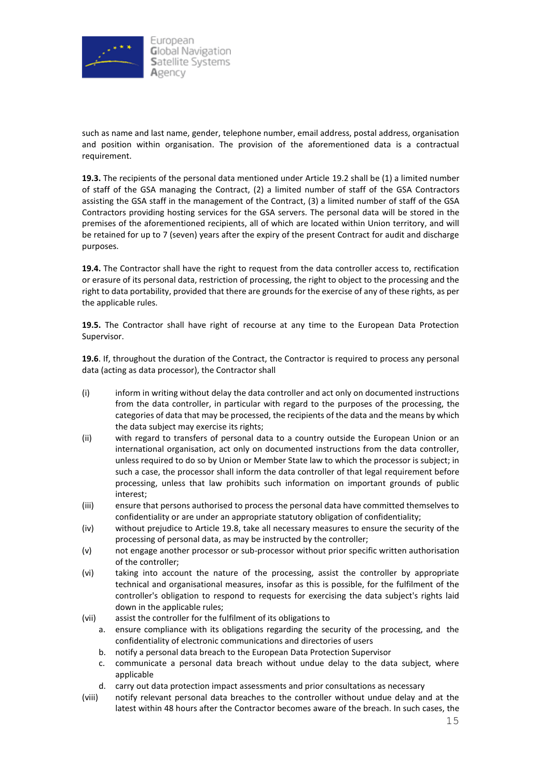

such as name and last name, gender, telephone number, email address, postal address, organisation and position within organisation. The provision of the aforementioned data is a contractual requirement.

**19.3.** The recipients of the personal data mentioned under Article 19.2 shall be (1) a limited number of staff of the GSA managing the Contract, (2) a limited number of staff of the GSA Contractors assisting the GSA staff in the management of the Contract, (3) a limited number of staff of the GSA Contractors providing hosting services for the GSA servers. The personal data will be stored in the premises of the aforementioned recipients, all of which are located within Union territory, and will be retained for up to 7 (seven) years after the expiry of the present Contract for audit and discharge purposes.

**19.4.** The Contractor shall have the right to request from the data controller access to, rectification or erasure of its personal data, restriction of processing, the right to object to the processing and the right to data portability, provided that there are grounds for the exercise of any of these rights, as per the applicable rules.

**19.5.** The Contractor shall have right of recourse at any time to the European Data Protection Supervisor.

**19.6**. If, throughout the duration of the Contract, the Contractor is required to process any personal data (acting as data processor), the Contractor shall

- (i) inform in writing without delay the data controller and act only on documented instructions from the data controller, in particular with regard to the purposes of the processing, the categories of data that may be processed, the recipients of the data and the means by which the data subject may exercise its rights;
- (ii) with regard to transfers of personal data to a country outside the European Union or an international organisation, act only on documented instructions from the data controller, unless required to do so by Union or Member State law to which the processor is subject; in such a case, the processor shall inform the data controller of that legal requirement before processing, unless that law prohibits such information on important grounds of public interest;
- (iii) ensure that persons authorised to process the personal data have committed themselves to confidentiality or are under an appropriate statutory obligation of confidentiality;
- (iv) without prejudice to Article 19.8, take all necessary measures to ensure the security of the processing of personal data, as may be instructed by the controller;
- (v) not engage another processor or sub-processor without prior specific written authorisation of the controller;
- (vi) taking into account the nature of the processing, assist the controller by appropriate technical and organisational measures, insofar as this is possible, for the fulfilment of the controller's obligation to respond to requests for exercising the data subject's rights laid down in the applicable rules;
- (vii) assist the controller for the fulfilment of its obligations to
	- a. ensure compliance with its obligations regarding the security of the processing, and the confidentiality of electronic communications and directories of users
	- b. notify a personal data breach to the European Data Protection Supervisor
	- c. communicate a personal data breach without undue delay to the data subject, where applicable
	- d. carry out data protection impact assessments and prior consultations as necessary
- (viii) notify relevant personal data breaches to the controller without undue delay and at the latest within 48 hours after the Contractor becomes aware of the breach. In such cases, the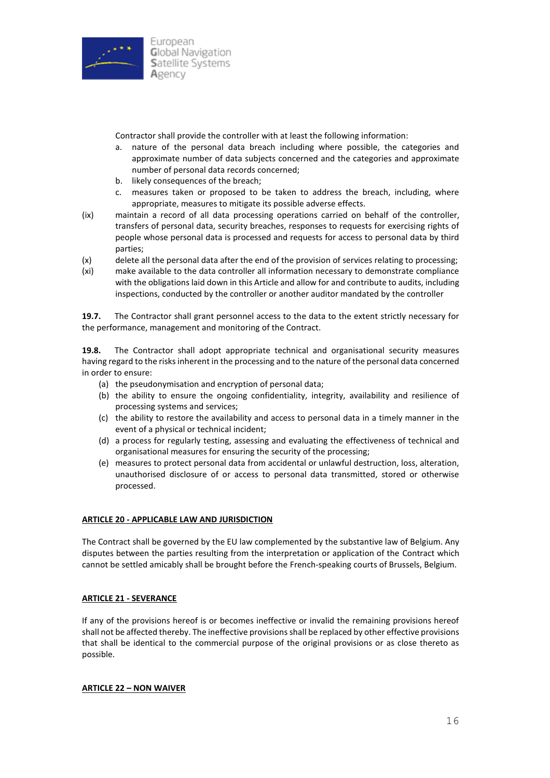

Contractor shall provide the controller with at least the following information:

- a. nature of the personal data breach including where possible, the categories and approximate number of data subjects concerned and the categories and approximate number of personal data records concerned;
- b. likely consequences of the breach;
- c. measures taken or proposed to be taken to address the breach, including, where appropriate, measures to mitigate its possible adverse effects.
- (ix) maintain a record of all data processing operations carried on behalf of the controller, transfers of personal data, security breaches, responses to requests for exercising rights of people whose personal data is processed and requests for access to personal data by third parties;
- (x) delete all the personal data after the end of the provision of services relating to processing;
- (xi) make available to the data controller all information necessary to demonstrate compliance with the obligations laid down in this Article and allow for and contribute to audits, including inspections, conducted by the controller or another auditor mandated by the controller

**19.7.** The Contractor shall grant personnel access to the data to the extent strictly necessary for the performance, management and monitoring of the Contract.

**19.8.** The Contractor shall adopt appropriate technical and organisational security measures having regard to the risks inherent in the processing and to the nature of the personal data concerned in order to ensure:

- (a) the pseudonymisation and encryption of personal data;
- (b) the ability to ensure the ongoing confidentiality, integrity, availability and resilience of processing systems and services;
- (c) the ability to restore the availability and access to personal data in a timely manner in the event of a physical or technical incident;
- (d) a process for regularly testing, assessing and evaluating the effectiveness of technical and organisational measures for ensuring the security of the processing;
- (e) measures to protect personal data from accidental or unlawful destruction, loss, alteration, unauthorised disclosure of or access to personal data transmitted, stored or otherwise processed.

#### **ARTICLE 20 - APPLICABLE LAW AND JURISDICTION**

The Contract shall be governed by the EU law complemented by the substantive law of Belgium. Any disputes between the parties resulting from the interpretation or application of the Contract which cannot be settled amicably shall be brought before the French-speaking courts of Brussels, Belgium.

#### **ARTICLE 21 - SEVERANCE**

If any of the provisions hereof is or becomes ineffective or invalid the remaining provisions hereof shall not be affected thereby. The ineffective provisions shall be replaced by other effective provisions that shall be identical to the commercial purpose of the original provisions or as close thereto as possible.

#### **ARTICLE 22 – NON WAIVER**